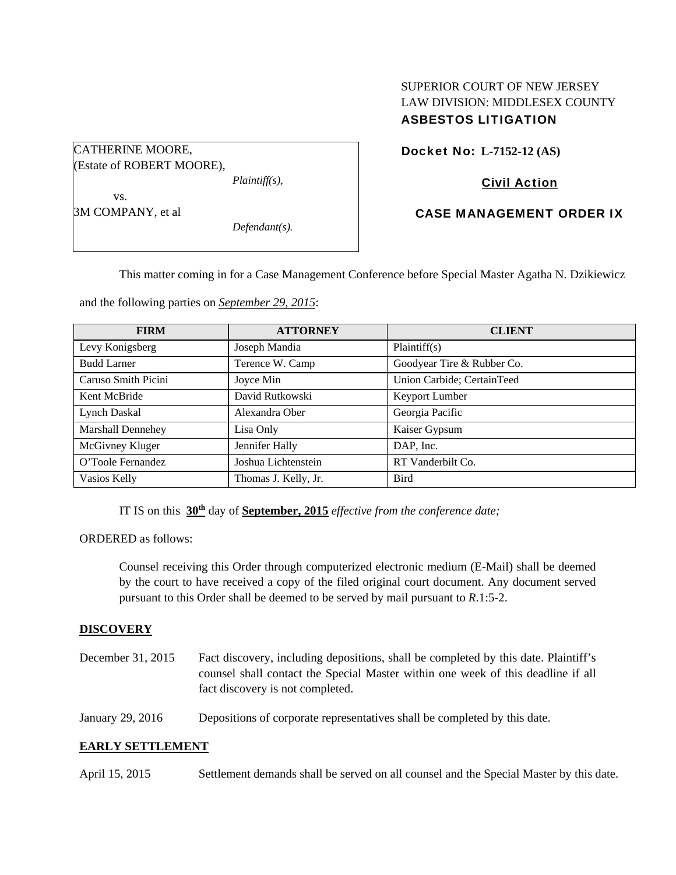# SUPERIOR COURT OF NEW JERSEY LAW DIVISION: MIDDLESEX COUNTY ASBESTOS LITIGATION

Docket No: **L-7152-12 (AS)** 

## Civil Action

## CASE MANAGEMENT ORDER IX

This matter coming in for a Case Management Conference before Special Master Agatha N. Dzikiewicz

and the following parties on *September 29, 2015*:

*Plaintiff(s),* 

*Defendant(s).* 

| <b>FIRM</b>         | <b>ATTORNEY</b>      | <b>CLIENT</b>              |
|---------------------|----------------------|----------------------------|
| Levy Konigsberg     | Joseph Mandia        | Plaintiff(s)               |
| <b>Budd Larner</b>  | Terence W. Camp      | Goodyear Tire & Rubber Co. |
| Caruso Smith Picini | Joyce Min            | Union Carbide; CertainTeed |
| Kent McBride        | David Rutkowski      | Keyport Lumber             |
| Lynch Daskal        | Alexandra Ober       | Georgia Pacific            |
| Marshall Dennehey   | Lisa Only            | Kaiser Gypsum              |
| McGivney Kluger     | Jennifer Hally       | DAP, Inc.                  |
| O'Toole Fernandez   | Joshua Lichtenstein  | RT Vanderbilt Co.          |
| Vasios Kelly        | Thomas J. Kelly, Jr. | <b>Bird</b>                |

IT IS on this **30th** day of **September, 2015** *effective from the conference date;*

ORDERED as follows:

CATHERINE MOORE,

 vs. 3M COMPANY, et al

(Estate of ROBERT MOORE),

Counsel receiving this Order through computerized electronic medium (E-Mail) shall be deemed by the court to have received a copy of the filed original court document. Any document served pursuant to this Order shall be deemed to be served by mail pursuant to *R*.1:5-2.

## **DISCOVERY**

| December 31, 2015 | Fact discovery, including depositions, shall be completed by this date. Plaintiff's<br>counsel shall contact the Special Master within one week of this deadline if all<br>fact discovery is not completed. |
|-------------------|-------------------------------------------------------------------------------------------------------------------------------------------------------------------------------------------------------------|
| January 29, 2016  | Depositions of corporate representatives shall be completed by this date.                                                                                                                                   |

## **EARLY SETTLEMENT**

April 15, 2015 Settlement demands shall be served on all counsel and the Special Master by this date.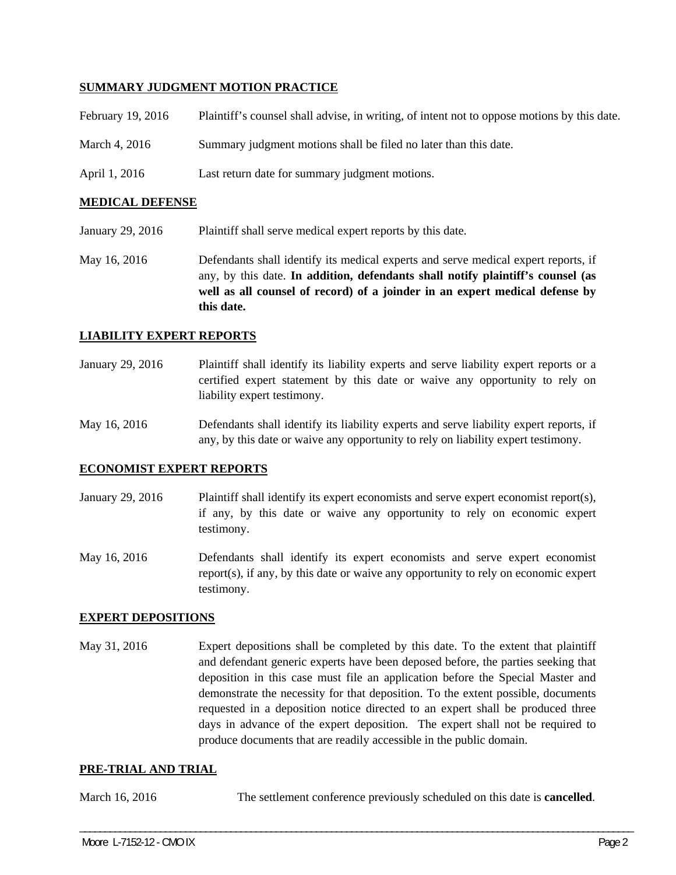## **SUMMARY JUDGMENT MOTION PRACTICE**

| February 19, 2016 | Plaintiff's counsel shall advise, in writing, of intent not to oppose motions by this date. |
|-------------------|---------------------------------------------------------------------------------------------|
| March 4, 2016     | Summary judgment motions shall be filed no later than this date.                            |
| April 1, 2016     | Last return date for summary judgment motions.                                              |

#### **MEDICAL DEFENSE**

- January 29, 2016 Plaintiff shall serve medical expert reports by this date.
- May 16, 2016 Defendants shall identify its medical experts and serve medical expert reports, if any, by this date. **In addition, defendants shall notify plaintiff's counsel (as well as all counsel of record) of a joinder in an expert medical defense by this date.**

#### **LIABILITY EXPERT REPORTS**

January 29, 2016 Plaintiff shall identify its liability experts and serve liability expert reports or a certified expert statement by this date or waive any opportunity to rely on liability expert testimony.

May 16, 2016 Defendants shall identify its liability experts and serve liability expert reports, if any, by this date or waive any opportunity to rely on liability expert testimony.

#### **ECONOMIST EXPERT REPORTS**

- January 29, 2016 Plaintiff shall identify its expert economists and serve expert economist report(s), if any, by this date or waive any opportunity to rely on economic expert testimony.
- May 16, 2016 Defendants shall identify its expert economists and serve expert economist report(s), if any, by this date or waive any opportunity to rely on economic expert testimony.

## **EXPERT DEPOSITIONS**

May 31, 2016 Expert depositions shall be completed by this date. To the extent that plaintiff and defendant generic experts have been deposed before, the parties seeking that deposition in this case must file an application before the Special Master and demonstrate the necessity for that deposition. To the extent possible, documents requested in a deposition notice directed to an expert shall be produced three days in advance of the expert deposition. The expert shall not be required to produce documents that are readily accessible in the public domain.

#### **PRE-TRIAL AND TRIAL**

March 16, 2016 The settlement conference previously scheduled on this date is **cancelled**.

\_\_\_\_\_\_\_\_\_\_\_\_\_\_\_\_\_\_\_\_\_\_\_\_\_\_\_\_\_\_\_\_\_\_\_\_\_\_\_\_\_\_\_\_\_\_\_\_\_\_\_\_\_\_\_\_\_\_\_\_\_\_\_\_\_\_\_\_\_\_\_\_\_\_\_\_\_\_\_\_\_\_\_\_\_\_\_\_\_\_\_\_\_\_\_\_\_\_\_\_\_\_\_\_\_\_\_\_\_\_